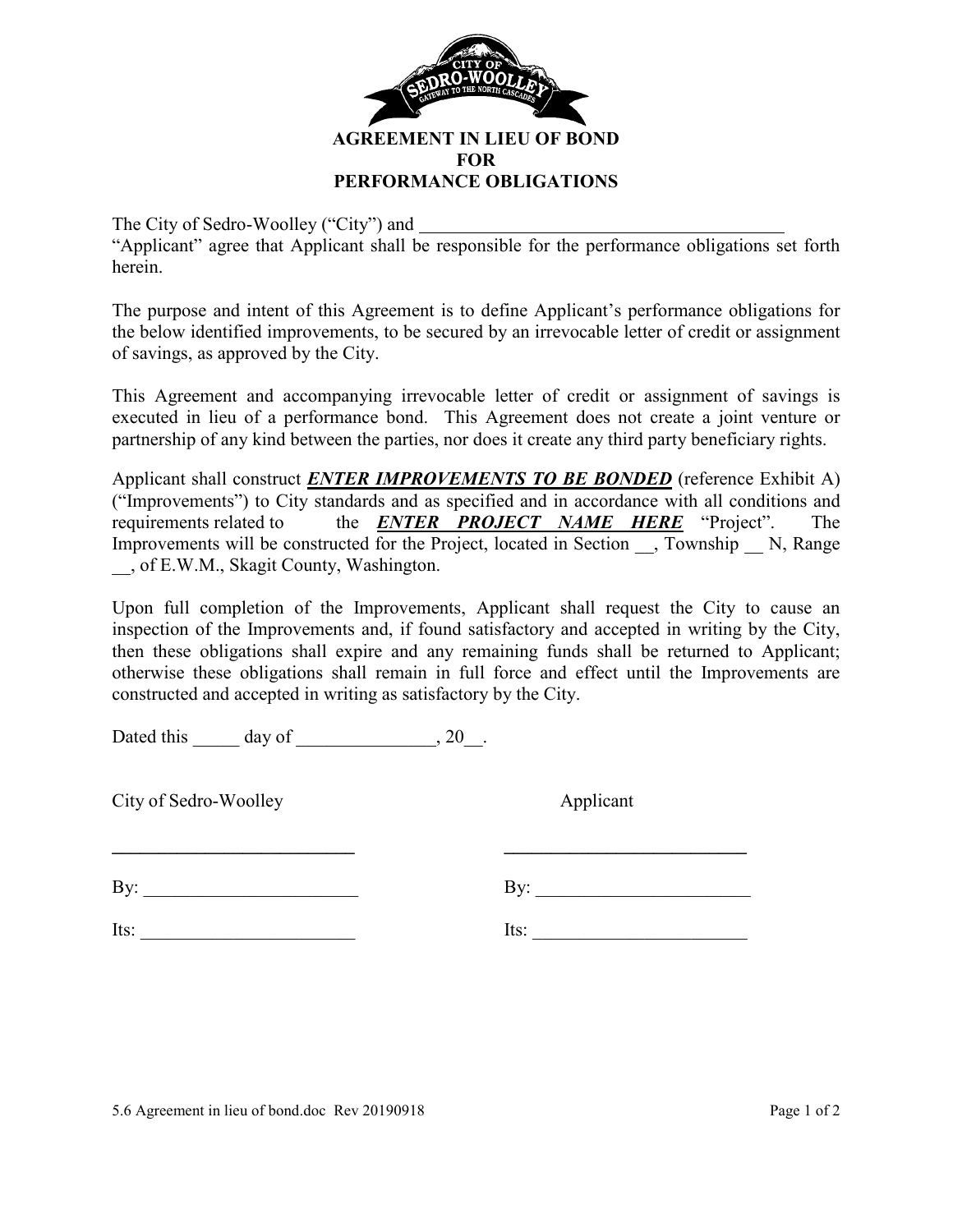

The City of Sedro-Woolley ("City") and

"Applicant" agree that Applicant shall be responsible for the performance obligations set forth herein.

The purpose and intent of this Agreement is to define Applicant's performance obligations for the below identified improvements, to be secured by an irrevocable letter of credit or assignment of savings, as approved by the City.

This Agreement and accompanying irrevocable letter of credit or assignment of savings is executed in lieu of a performance bond. This Agreement does not create a joint venture or partnership of any kind between the parties, nor does it create any third party beneficiary rights.

Applicant shall construct *ENTER IMPROVEMENTS TO BE BONDED* (reference Exhibit A) ("Improvements") to City standards and as specified and in accordance with all conditions and requirements related to the *ENTER PROJECT NAME HERE* "Project". The Improvements will be constructed for the Project, located in Section  $\overline{)}$ , Township  $\overline{)}$  N, Range \_\_, of E.W.M., Skagit County, Washington.

Upon full completion of the Improvements, Applicant shall request the City to cause an inspection of the Improvements and, if found satisfactory and accepted in writing by the City, then these obligations shall expire and any remaining funds shall be returned to Applicant; otherwise these obligations shall remain in full force and effect until the Improvements are constructed and accepted in writing as satisfactory by the City.

**\_\_\_\_\_\_\_\_\_\_\_\_\_\_\_\_\_\_\_\_\_\_\_\_\_\_ \_\_\_\_\_\_\_\_\_\_\_\_\_\_\_\_\_\_\_\_\_\_\_\_\_\_** 

Dated this  $\_\_\_\_\$  day of  $\_\_\_\_\_\_\$ , 20 $\_\_\_\_\$ .

City of Sedro-Woolley Applicant

By: \_\_\_\_\_\_\_\_\_\_\_\_\_\_\_\_\_\_\_\_\_\_\_ By: \_\_\_\_\_\_\_\_\_\_\_\_\_\_\_\_\_\_\_\_\_\_\_

Its:  $\qquad \qquad$  Its:  $\qquad \qquad$  Its:  $\qquad \qquad$ 

5.6 Agreement in lieu of bond.doc Rev 20190918 Page 1 of 2